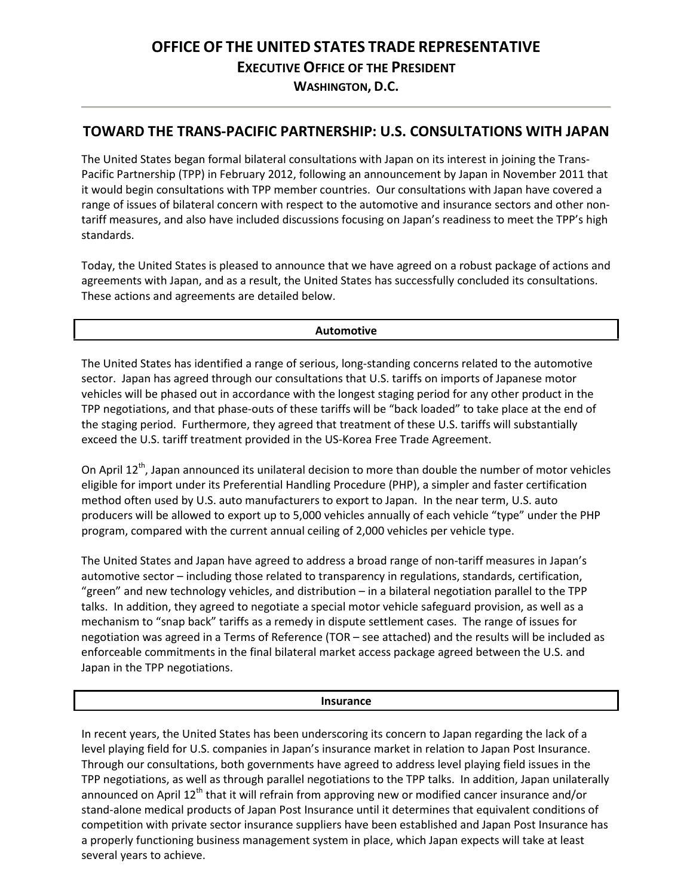# **OFFICE OF THE UNITED STATES TRADE REPRESENTATIVE EXECUTIVE OFFICE OF THE PRESIDENT WASHINGTON, D.C.**

### **TOWARD THE TRANS-PACIFIC PARTNERSHIP: U.S. CONSULTATIONS WITH JAPAN**

The United States began formal bilateral consultations with Japan on its interest in joining the Trans-Pacific Partnership (TPP) in February 2012, following an announcement by Japan in November 2011 that it would begin consultations with TPP member countries. Our consultations with Japan have covered a range of issues of bilateral concern with respect to the automotive and insurance sectors and other nontariff measures, and also have included discussions focusing on Japan's readiness to meet the TPP's high standards.

Today, the United States is pleased to announce that we have agreed on a robust package of actions and agreements with Japan, and as a result, the United States has successfully concluded its consultations. These actions and agreements are detailed below.

### **Automotive**

The United States has identified a range of serious, long-standing concerns related to the automotive sector. Japan has agreed through our consultations that U.S. tariffs on imports of Japanese motor vehicles will be phased out in accordance with the longest staging period for any other product in the TPP negotiations, and that phase-outs of these tariffs will be "back loaded" to take place at the end of the staging period. Furthermore, they agreed that treatment of these U.S. tariffs will substantially exceed the U.S. tariff treatment provided in the US-Korea Free Trade Agreement.

On April 12<sup>th</sup>, Japan announced its unilateral decision to more than double the number of motor vehicles eligible for import under its Preferential Handling Procedure (PHP), a simpler and faster certification method often used by U.S. auto manufacturers to export to Japan. In the near term, U.S. auto producers will be allowed to export up to 5,000 vehicles annually of each vehicle "type" under the PHP program, compared with the current annual ceiling of 2,000 vehicles per vehicle type.

The United States and Japan have agreed to address a broad range of non-tariff measures in Japan's automotive sector – including those related to transparency in regulations, standards, certification, "green" and new technology vehicles, and distribution – in a bilateral negotiation parallel to the TPP talks. In addition, they agreed to negotiate a special motor vehicle safeguard provision, as well as a mechanism to "snap back" tariffs as a remedy in dispute settlement cases. The range of issues for negotiation was agreed in a Terms of Reference (TOR – see attached) and the results will be included as enforceable commitments in the final bilateral market access package agreed between the U.S. and Japan in the TPP negotiations.

### **Insurance**

In recent years, the United States has been underscoring its concern to Japan regarding the lack of a level playing field for U.S. companies in Japan's insurance market in relation to Japan Post Insurance. Through our consultations, both governments have agreed to address level playing field issues in the TPP negotiations, as well as through parallel negotiations to the TPP talks. In addition, Japan unilaterally announced on April 12<sup>th</sup> that it will refrain from approving new or modified cancer insurance and/or stand-alone medical products of Japan Post Insurance until it determines that equivalent conditions of competition with private sector insurance suppliers have been established and Japan Post Insurance has a properly functioning business management system in place, which Japan expects will take at least several years to achieve.